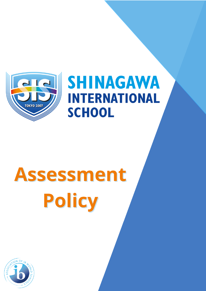

# **SHINAGAWA INTERNATIONAL SCHOOL**

# **Assessment Policy**

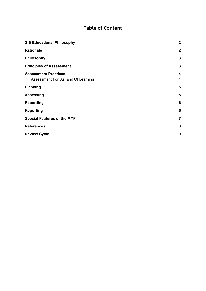# **Table of Content**

| <b>SIS Educational Philosophy</b>                                  | $\mathbf{2}$        |
|--------------------------------------------------------------------|---------------------|
| <b>Rationale</b>                                                   | $\boldsymbol{2}$    |
| <b>Philosophy</b>                                                  | $\mathbf{3}$        |
| <b>Principles of Assessment</b>                                    | $\mathbf{3}$        |
| <b>Assessment Practices</b><br>Assessment For, As, and Of Learning | 4<br>$\overline{4}$ |
| <b>Planning</b>                                                    | 5                   |
| <b>Assessing</b>                                                   | 5                   |
| <b>Recording</b>                                                   | $6\phantom{1}6$     |
| <b>Reporting</b>                                                   | $6\phantom{1}6$     |
| <b>Special Features of the MYP</b>                                 | $\overline{7}$      |
| <b>References</b>                                                  | 8                   |
| <b>Review Cycle</b>                                                | 9                   |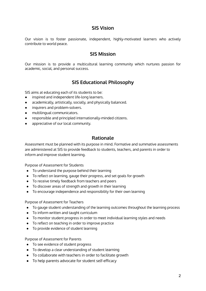## **SIS Vision**

Our vision is to foster passionate, independent, highly-motivated learners who actively contribute to world peace.

### **SIS Mission**

<span id="page-2-0"></span>Our mission is to provide a multicultural learning community which nurtures passion for academic, social, and personal success.

# **SIS Educational Philosophy**

SIS aims at educating each of its students to be:

- inspired and independent life-long learners.
- academically, artistically, socially, and physically balanced.
- inquirers and problem-solvers.
- multilingual communicators.
- responsible and principled internationally-minded citizens.
- appreciative of our local community.

#### **Rationale**

<span id="page-2-1"></span>Assessment must be planned with its purpose in mind. Formative and summative assessments are administered at SIS to provide feedback to students, teachers, and parents in order to inform and improve student learning.

Purpose of Assessment for Students

- To understand the purpose behind their learning
- To reflect on learning, gauge their progress, and set goals for growth
- To receive timely feedback from teachers and peers
- To discover areas of strength and growth in their learning
- To encourage independence and responsibility for their own learning

Purpose of Assessment for Teachers

- To gauge student understanding of the learning outcomes throughout the learning process
- To inform written and taught curriculum
- To monitor student progress in order to meet individual learning styles and needs
- To reflect on teaching in order to improve practice
- To provide evidence of student learning

Purpose of Assessment for Parents

- To see evidence of student progress
- To develop a clear understanding of student learning
- To collaborate with teachers in order to facilitate growth
- To help parents advocate for student self-efficacy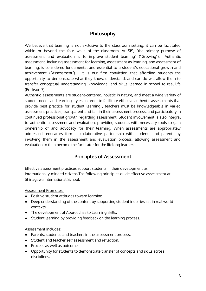# **Philosophy**

<span id="page-3-0"></span>We believe that learning is not exclusive to the classroom setting; it can be facilitated within or beyond the four walls of the classroom. At SIS, "the primary purpose of assessment and evaluation is to improve student learning" ("Growing"). Authentic assessment, including assessment for learning, assessment as learning, and assessment of learning, is considered fundamental and essential to a student's educational growth and achievement ("Assessment"). It is our firm conviction that affording students the opportunity to demonstrate what they know, understand, and can do will allow them to transfer conceptual understanding, knowledge, and skills learned in school to real life (Erickson 7).

Authentic assessments are student-centered, holistic in nature, and meet a wide variety of student needs and learning styles. In order to facilitate effective authentic assessments that provide best practice for student learning , teachers must be knowledgeable in varied assessment practices, transparent and fair in their assessment process, and participatory in continued professional growth regarding assessment. Student involvement is also integral to authentic assessment and evaluation, providing students with necessary tools to gain ownership of and advocacy for their learning. When assessments are appropriately addressed, educators form a collaborative partnership with students and parents by involving them in the assessment and evaluation process, allowing assessment and evaluation to then become the facilitator for the lifelong learner.

# **Principles of Assessment**

<span id="page-3-1"></span>Effective assessment practices support students in their development as internationally-minded citizens.The following principles guide effective assessment at Shinagawa International School:

#### Assessment Promotes:

- Positive student attitudes toward learning.
- Deep understanding of the content by supporting student inquiries set in real world contexts.
- The development of Approaches to Learning skills.
- Student learning by providing feedback on the learning process.

#### Assessment Includes:

- Parents, students, and teachers in the assessment process.
- Student and teacher self assessment and reflection.
- Process as well as outcome.
- Opportunity for students to demonstrate transfer of concepts and skills across disciplines.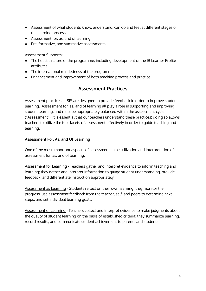- Assessment of what students know, understand, can do and feel at different stages of the learning process.
- Assessment for, as, and of learning.
- Pre, formative, and summative assessments.

#### Assessment Supports:

- The holistic nature of the programme, including development of the IB Learner Profile attributes.
- The international mindedness of the programme.
- <span id="page-4-0"></span>● Enhancement and improvement of both teaching process and practice.

# **Assessment Practices**

Assessment practices at SIS are designed to provide feedback in order to improve student learning. Assessment for, as, and of learning all play a role in supporting and improving student learning, and must be appropriately balanced within the assessment cycle ("Assessment"). It is essential that our teachers understand these practices; doing so allows teachers to utilize the four facets of assessment effectively in order to guide teaching and learning.

#### <span id="page-4-1"></span>**Assessment For, As, and Of Learning**

One of the most important aspects of assessment is the utilization and interpretation of assessment for, as, and of learning.

Assessment for Learning - Teachers gather and interpret evidence to inform teaching and learning; they gather and interpret information to gauge student understanding, provide feedback, and differentiate instruction appropriately.

Assessment as Learning - Students reflect on their own learning; they monitor their progress, use assessment feedback from the teacher, self, and peers to determine next steps, and set individual learning goals.

Assessment of Learning - Teachers collect and interpret evidence to make judgments about the quality of student learning on the basis of established criteria; they summarize learning, record results, and communicate student achievement to parents and students.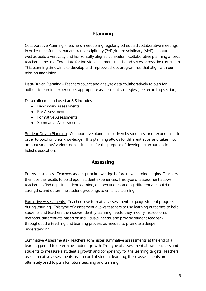# **Planning**

<span id="page-5-0"></span>Collaborative Planning - Teachers meet during regularly scheduled collaborative meetings in order to craft units that are transdisciplinary (PYP)/interdisciplinary (MYP) in nature as well as build a vertically and horizontally aligned curriculum. Collaborative planning affords teachers time to differentiate for individual learners' needs and styles across the curriculum. This planning time aims to develop and improve school programmes that align with our mission and vision.

Data-Driven Planning - Teachers collect and analyze data collaboratively to plan for authentic learning experiences appropriate assessment strategies (see recording section).

Data collected and used at SIS includes:

- Benchmark Assessments
- Pre-Assessments
- Formative Assessments
- Summative Assessments

Student-Driven Planning - Collaborative planning is driven by students' prior experiences in order to build on prior knowledge. This planning allows for differentiation and takes into account students' various needs; it exists for the purpose of developing an authentic, holistic education.

# **Assessing**

<span id="page-5-1"></span>Pre-Assessments - Teachers assess prior knowledge before new learning begins. Teachers then use the results to build upon student experiences. This type of assessment allows teachers to find gaps in student learning, deepen understanding, differentiate, build on strengths, and determine student groupings to enhance learning.

Formative Assessments - Teachers use formative assessment to gauge student progress during learning. This type of assessment allows teachers to use learning outcomes to help students and teachers themselves identify learning needs; they modify instructional methods, differentiate based on individuals' needs, and provide student feedback throughout the teaching and learning process as needed to promote a deeper understanding.

Summative Assessments - Teachers administer summative assessments at the end of a learning period to determine student growth. This type of assessment allows teachers and students to measure a student's growth and competency for the learning targets. Teachers use summative assessments as a record of student learning; these assessments are ultimately used to plan for future teaching and learning.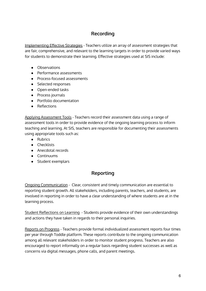# **Recording**

<span id="page-6-0"></span>Implementing Effective Strategies - Teachers utilize an array of assessment strategies that are fair, comprehensive, and relevant to the learning targets in order to provide varied ways for students to demonstrate their learning. Effective strategies used at SIS include:

- Observations
- Performance assessments
- Process-focused assessments
- Selected responses
- Open-ended tasks
- Process journals
- Portfolio documentation
- Reflections

Applying Assessment Tools - Teachers record their assessment data using a range of assessment tools in order to provide evidence of the ongoing learning process to inform teaching and learning. At SIS, teachers are responsible for documenting their assessments using appropriate tools such as:

- Rubrics
- Checklists
- Anecdotal records
- Continuums
- <span id="page-6-1"></span>● Student exemplars

# **Reporting**

Ongoing Communication - Clear, consistent and timely communication are essential to reporting student growth. All stakeholders, including parents, teachers, and students, are involved in reporting in order to have a clear understanding of where students are at in the learning process.

Student Reflections on Learning - Students provide evidence of their own understandings and actions they have taken in regards to their personal inquiries.

Reports on Progress - Teachers provide formal individualized assessment reports four times per year through Toddle platform. These reports contribute to the ongoing communication among all relevant stakeholders in order to monitor student progress. Teachers are also encouraged to report informally on a regular basis regarding student successes as well as concerns via digital messages, phone calls, and parent meetings.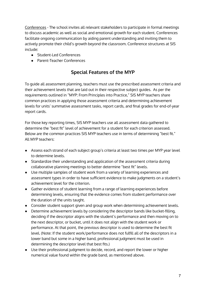Conferences - The school invites all relevant stakeholders to participate in formal meetings to discuss academic as well as social and emotional growth for each student. Conferences facilitate ongoing communication by aiding parent understanding and inviting them to actively promote their child's growth beyond the classroom. Conference structures at SIS include:

- Student-Led Conferences
- <span id="page-7-0"></span>● Parent-Teacher Conferences

# **Special Features of the MYP**

To guide all assessment planning, teachers must use the prescribed assessment criteria and their achievement levels that are laid out in their respective subject guides. As per the requirements outlined in "MYP: From Principles into Practice," SIS MYP teachers share common practices in applying those assessment criteria and determining achievement levels for units' summative assessment tasks, report cards, and final grades for end-of-year report cards.

For those key reporting times, SIS MYP teachers use all assessment data gathered to determine the "best fit" level of achievement for a student for each criterion assessed. Below are the common practices SIS MYP teachers use in terms of determining "best fit." All MYP teachers:

- Assess each strand of each subject group's criteria at least two times per MYP year level to determine levels.
- Standardize their understanding and application of the assessment criteria during collaborative planning meetings to better determine "best fit" levels.
- Use multiple samples of student work from a variety of learning experiences and assessment types in order to have sufficient evidence to make judgments on a student's achievement level for the criterion.
- Gather evidence of student learning from a range of learning experiences before determining levels, ensuring that the evidence comes from student performance over the duration of the units taught.
- Consider student support given and group work when determining achievement levels.
- Determine achievement levels by considering the descriptor bands like bucket-filling, deciding if the descriptor aligns with the student's performance and then moving on to the next descriptor, or bucket, until it does not align with the student work or performance. At that point, the previous descriptor is used to determine the best fit level. (Note: If the student work/performance does not fulfill all of the descriptors in a lower band but some in a higher band, professional judgment must be used in determining the descriptor level that best fits.)
- Use their professional judgment to decide, record, and report the lower or higher numerical value found within the grade band, as mentioned above.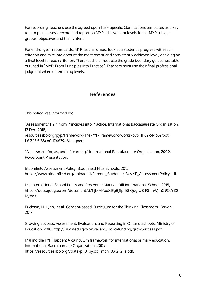For recording, teachers use the agreed upon Task-Specific Clarifications templates as a key tool to plan, assess, record and report on MYP achievement levels for all MYP subject groups' objectives and their criteria.

For end-of-year report cards, MYP teachers must look at a student's progress with each criterion and take into account the most recent and consistently achieved level, deciding on a final level for each criterion. Then, teachers must use the grade boundary guidelines table outlined in "MYP: From Principles into Practice". Teachers must use their final professional judgment when determining levels.

# **References**

<span id="page-8-0"></span>This policy was informed by:

"Assessment." PYP: from Principles into Practice, International Baccalaureate Organization, 12 Dec. 2018, resources.ibo.org/pyp/framework/The-PYP-Framework/works/pyp\_11162-51465?root= 1.6.2.12.5.3&c=0d74629d&lang=en.

"Assessment for, as, and of learning." International Baccalaureate Organization, 2009, Powerpoint Presentation.

Bloomfield Assessment Policy. Bloomfield Hills Schools, 2015, https://www.bloomfield.org/uploaded/Parents\_Students/IB/MYP\_AssessmentPolicy.pdf.

Dili International School Policy and Procedure Manual. Dili International School, 2015, https://docs.google.com/document/d/1-jMMYoqX1FgBj1IpfIShQqgfUB-F8f-nWjmO9CeYZ0 M/edit.

Erickson, H. Lynn, et al. Concept-based Curriculum for the Thinking Classroom. Corwin, 2017.

Growing Success: Assessment, Evaluation, and Reporting in Ontario Schools, Ministry of Education, 2010, http://www.edu.gov.on.ca/eng/policyfunding/growSuccess.pdf.

Making the PYP Happen: A curriculum framework for international primary education. International Baccalaureate Organization, 2009, https://resources.ibo.org//data/p\_0\_pypxx\_mph\_0912\_2\_e.pdf.